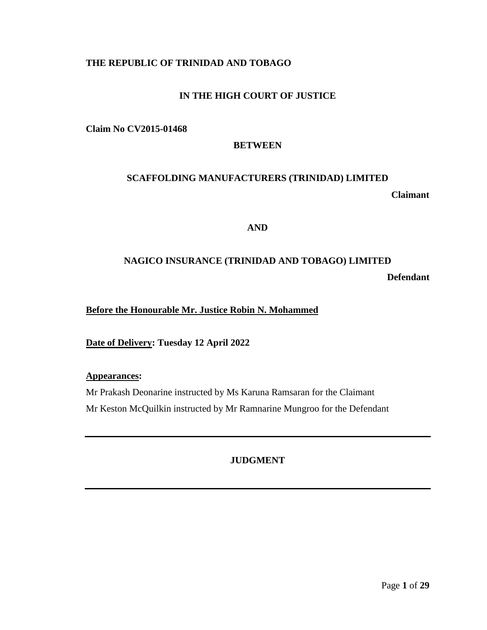## **THE REPUBLIC OF TRINIDAD AND TOBAGO**

## **IN THE HIGH COURT OF JUSTICE**

**Claim No CV2015-01468**

#### **BETWEEN**

## **SCAFFOLDING MANUFACTURERS (TRINIDAD) LIMITED**

**Claimant**

## **AND**

## **NAGICO INSURANCE (TRINIDAD AND TOBAGO) LIMITED**

**Defendant**

**Before the Honourable Mr. Justice Robin N. Mohammed**

**Date of Delivery: Tuesday 12 April 2022**

**Appearances:**

Mr Prakash Deonarine instructed by Ms Karuna Ramsaran for the Claimant Mr Keston McQuilkin instructed by Mr Ramnarine Mungroo for the Defendant

## **JUDGMENT**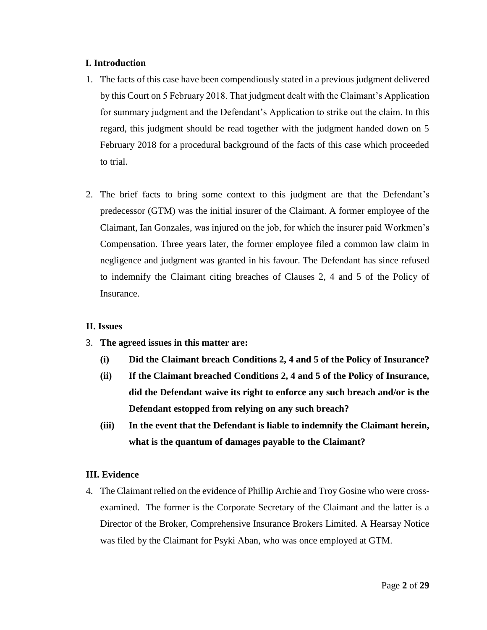## **I. Introduction**

- 1. The facts of this case have been compendiously stated in a previous judgment delivered by this Court on 5 February 2018. That judgment dealt with the Claimant's Application for summary judgment and the Defendant's Application to strike out the claim. In this regard, this judgment should be read together with the judgment handed down on 5 February 2018 for a procedural background of the facts of this case which proceeded to trial.
- 2. The brief facts to bring some context to this judgment are that the Defendant's predecessor (GTM) was the initial insurer of the Claimant. A former employee of the Claimant, Ian Gonzales, was injured on the job, for which the insurer paid Workmen's Compensation. Three years later, the former employee filed a common law claim in negligence and judgment was granted in his favour. The Defendant has since refused to indemnify the Claimant citing breaches of Clauses 2, 4 and 5 of the Policy of Insurance.

#### **II. Issues**

- 3. **The agreed issues in this matter are:**
	- **(i) Did the Claimant breach Conditions 2, 4 and 5 of the Policy of Insurance?**
	- **(ii) If the Claimant breached Conditions 2, 4 and 5 of the Policy of Insurance, did the Defendant waive its right to enforce any such breach and/or is the Defendant estopped from relying on any such breach?**
	- **(iii) In the event that the Defendant is liable to indemnify the Claimant herein, what is the quantum of damages payable to the Claimant?**

## **III. Evidence**

4. The Claimant relied on the evidence of Phillip Archie and Troy Gosine who were crossexamined. The former is the Corporate Secretary of the Claimant and the latter is a Director of the Broker, Comprehensive Insurance Brokers Limited. A Hearsay Notice was filed by the Claimant for Psyki Aban, who was once employed at GTM.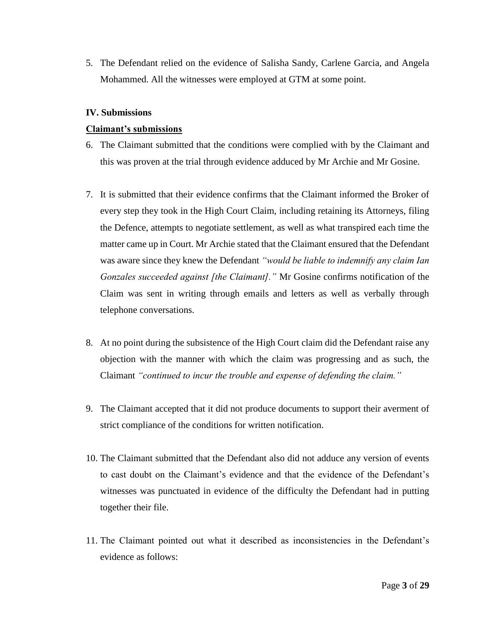5. The Defendant relied on the evidence of Salisha Sandy, Carlene Garcia, and Angela Mohammed. All the witnesses were employed at GTM at some point.

#### **IV. Submissions**

#### **Claimant's submissions**

- 6. The Claimant submitted that the conditions were complied with by the Claimant and this was proven at the trial through evidence adduced by Mr Archie and Mr Gosine.
- 7. It is submitted that their evidence confirms that the Claimant informed the Broker of every step they took in the High Court Claim, including retaining its Attorneys, filing the Defence, attempts to negotiate settlement, as well as what transpired each time the matter came up in Court. Mr Archie stated that the Claimant ensured that the Defendant was aware since they knew the Defendant *"would be liable to indemnify any claim Ian Gonzales succeeded against [the Claimant]."* Mr Gosine confirms notification of the Claim was sent in writing through emails and letters as well as verbally through telephone conversations.
- 8. At no point during the subsistence of the High Court claim did the Defendant raise any objection with the manner with which the claim was progressing and as such, the Claimant *"continued to incur the trouble and expense of defending the claim."*
- 9. The Claimant accepted that it did not produce documents to support their averment of strict compliance of the conditions for written notification.
- 10. The Claimant submitted that the Defendant also did not adduce any version of events to cast doubt on the Claimant's evidence and that the evidence of the Defendant's witnesses was punctuated in evidence of the difficulty the Defendant had in putting together their file.
- 11. The Claimant pointed out what it described as inconsistencies in the Defendant's evidence as follows: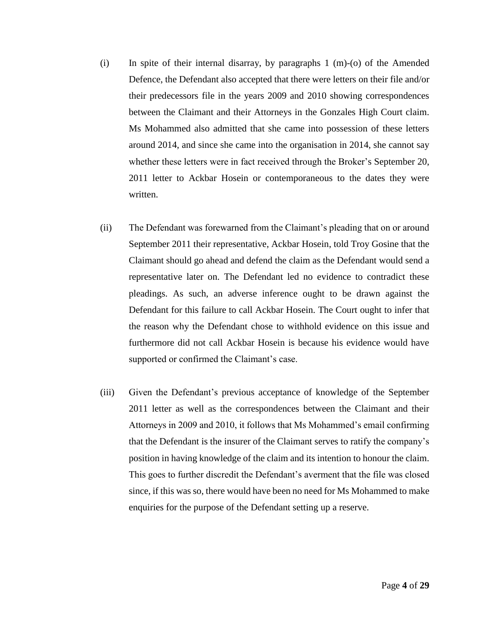- (i) In spite of their internal disarray, by paragraphs 1 (m)-(o) of the Amended Defence, the Defendant also accepted that there were letters on their file and/or their predecessors file in the years 2009 and 2010 showing correspondences between the Claimant and their Attorneys in the Gonzales High Court claim. Ms Mohammed also admitted that she came into possession of these letters around 2014, and since she came into the organisation in 2014, she cannot say whether these letters were in fact received through the Broker's September 20, 2011 letter to Ackbar Hosein or contemporaneous to the dates they were written.
- (ii) The Defendant was forewarned from the Claimant's pleading that on or around September 2011 their representative, Ackbar Hosein, told Troy Gosine that the Claimant should go ahead and defend the claim as the Defendant would send a representative later on. The Defendant led no evidence to contradict these pleadings. As such, an adverse inference ought to be drawn against the Defendant for this failure to call Ackbar Hosein. The Court ought to infer that the reason why the Defendant chose to withhold evidence on this issue and furthermore did not call Ackbar Hosein is because his evidence would have supported or confirmed the Claimant's case.
- (iii) Given the Defendant's previous acceptance of knowledge of the September 2011 letter as well as the correspondences between the Claimant and their Attorneys in 2009 and 2010, it follows that Ms Mohammed's email confirming that the Defendant is the insurer of the Claimant serves to ratify the company's position in having knowledge of the claim and its intention to honour the claim. This goes to further discredit the Defendant's averment that the file was closed since, if this was so, there would have been no need for Ms Mohammed to make enquiries for the purpose of the Defendant setting up a reserve.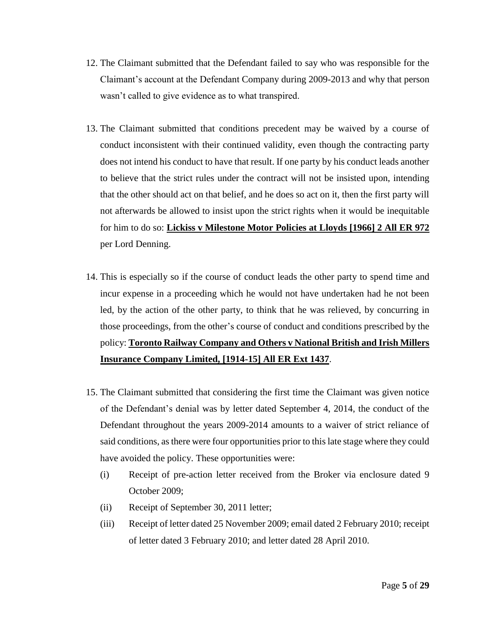- 12. The Claimant submitted that the Defendant failed to say who was responsible for the Claimant's account at the Defendant Company during 2009-2013 and why that person wasn't called to give evidence as to what transpired.
- 13. The Claimant submitted that conditions precedent may be waived by a course of conduct inconsistent with their continued validity, even though the contracting party does not intend his conduct to have that result. If one party by his conduct leads another to believe that the strict rules under the contract will not be insisted upon, intending that the other should act on that belief, and he does so act on it, then the first party will not afterwards be allowed to insist upon the strict rights when it would be inequitable for him to do so: **Lickiss v Milestone Motor Policies at Lloyds [1966] 2 All ER 972** per Lord Denning.
- 14. This is especially so if the course of conduct leads the other party to spend time and incur expense in a proceeding which he would not have undertaken had he not been led, by the action of the other party, to think that he was relieved, by concurring in those proceedings, from the other's course of conduct and conditions prescribed by the policy: **Toronto Railway Company and Others v National British and Irish Millers Insurance Company Limited, [1914-15] All ER Ext 1437**.
- 15. The Claimant submitted that considering the first time the Claimant was given notice of the Defendant's denial was by letter dated September 4, 2014, the conduct of the Defendant throughout the years 2009-2014 amounts to a waiver of strict reliance of said conditions, as there were four opportunities prior to this late stage where they could have avoided the policy. These opportunities were:
	- (i) Receipt of pre-action letter received from the Broker via enclosure dated 9 October 2009;
	- (ii) Receipt of September 30, 2011 letter;
	- (iii) Receipt of letter dated 25 November 2009; email dated 2 February 2010; receipt of letter dated 3 February 2010; and letter dated 28 April 2010.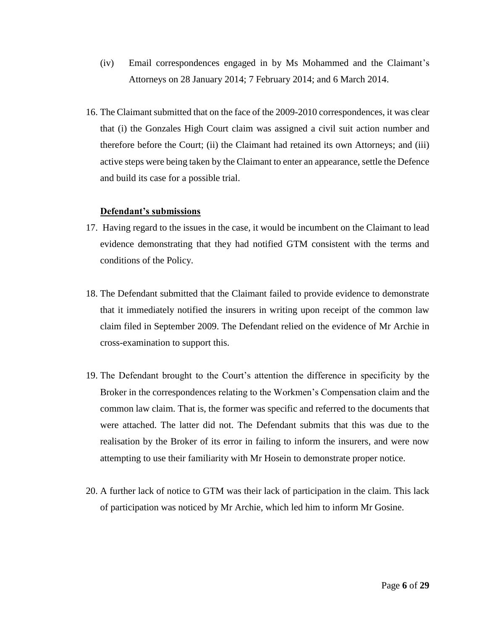- (iv) Email correspondences engaged in by Ms Mohammed and the Claimant's Attorneys on 28 January 2014; 7 February 2014; and 6 March 2014.
- 16. The Claimant submitted that on the face of the 2009-2010 correspondences, it was clear that (i) the Gonzales High Court claim was assigned a civil suit action number and therefore before the Court; (ii) the Claimant had retained its own Attorneys; and (iii) active steps were being taken by the Claimant to enter an appearance, settle the Defence and build its case for a possible trial.

#### **Defendant's submissions**

- 17. Having regard to the issues in the case, it would be incumbent on the Claimant to lead evidence demonstrating that they had notified GTM consistent with the terms and conditions of the Policy.
- 18. The Defendant submitted that the Claimant failed to provide evidence to demonstrate that it immediately notified the insurers in writing upon receipt of the common law claim filed in September 2009. The Defendant relied on the evidence of Mr Archie in cross-examination to support this.
- 19. The Defendant brought to the Court's attention the difference in specificity by the Broker in the correspondences relating to the Workmen's Compensation claim and the common law claim. That is, the former was specific and referred to the documents that were attached. The latter did not. The Defendant submits that this was due to the realisation by the Broker of its error in failing to inform the insurers, and were now attempting to use their familiarity with Mr Hosein to demonstrate proper notice.
- 20. A further lack of notice to GTM was their lack of participation in the claim. This lack of participation was noticed by Mr Archie, which led him to inform Mr Gosine.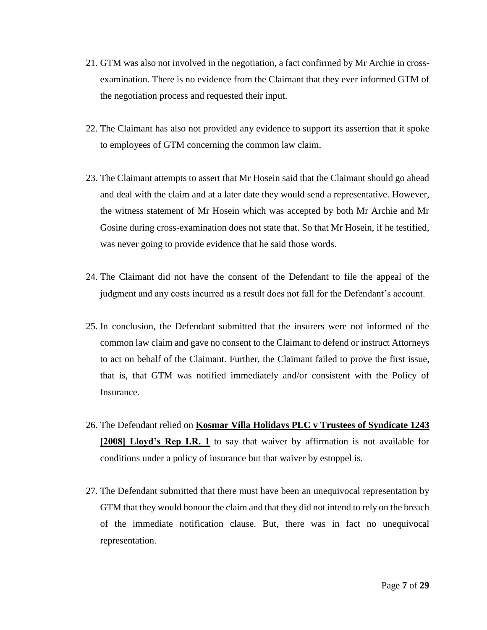- 21. GTM was also not involved in the negotiation, a fact confirmed by Mr Archie in crossexamination. There is no evidence from the Claimant that they ever informed GTM of the negotiation process and requested their input.
- 22. The Claimant has also not provided any evidence to support its assertion that it spoke to employees of GTM concerning the common law claim.
- 23. The Claimant attempts to assert that Mr Hosein said that the Claimant should go ahead and deal with the claim and at a later date they would send a representative. However, the witness statement of Mr Hosein which was accepted by both Mr Archie and Mr Gosine during cross-examination does not state that. So that Mr Hosein, if he testified, was never going to provide evidence that he said those words.
- 24. The Claimant did not have the consent of the Defendant to file the appeal of the judgment and any costs incurred as a result does not fall for the Defendant's account.
- 25. In conclusion, the Defendant submitted that the insurers were not informed of the common law claim and gave no consent to the Claimant to defend or instruct Attorneys to act on behalf of the Claimant. Further, the Claimant failed to prove the first issue, that is, that GTM was notified immediately and/or consistent with the Policy of Insurance.
- 26. The Defendant relied on **Kosmar Villa Holidays PLC v Trustees of Syndicate 1243 [2008] Lloyd's Rep I.R. 1** to say that waiver by affirmation is not available for conditions under a policy of insurance but that waiver by estoppel is.
- 27. The Defendant submitted that there must have been an unequivocal representation by GTM that they would honour the claim and that they did not intend to rely on the breach of the immediate notification clause. But, there was in fact no unequivocal representation.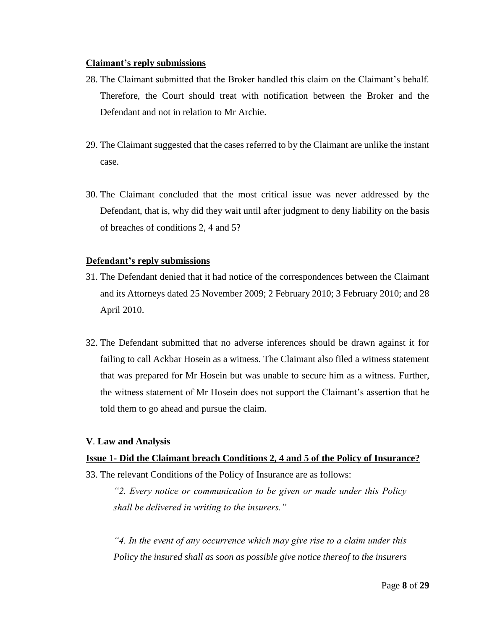#### **Claimant's reply submissions**

- 28. The Claimant submitted that the Broker handled this claim on the Claimant's behalf. Therefore, the Court should treat with notification between the Broker and the Defendant and not in relation to Mr Archie.
- 29. The Claimant suggested that the cases referred to by the Claimant are unlike the instant case.
- 30. The Claimant concluded that the most critical issue was never addressed by the Defendant, that is, why did they wait until after judgment to deny liability on the basis of breaches of conditions 2, 4 and 5?

## **Defendant's reply submissions**

- 31. The Defendant denied that it had notice of the correspondences between the Claimant and its Attorneys dated 25 November 2009; 2 February 2010; 3 February 2010; and 28 April 2010.
- 32. The Defendant submitted that no adverse inferences should be drawn against it for failing to call Ackbar Hosein as a witness. The Claimant also filed a witness statement that was prepared for Mr Hosein but was unable to secure him as a witness. Further, the witness statement of Mr Hosein does not support the Claimant's assertion that he told them to go ahead and pursue the claim.

## **V**. **Law and Analysis**

## **Issue 1- Did the Claimant breach Conditions 2, 4 and 5 of the Policy of Insurance?**

33. The relevant Conditions of the Policy of Insurance are as follows:

*"2. Every notice or communication to be given or made under this Policy shall be delivered in writing to the insurers."* 

*"4. In the event of any occurrence which may give rise to a claim under this Policy the insured shall as soon as possible give notice thereof to the insurers*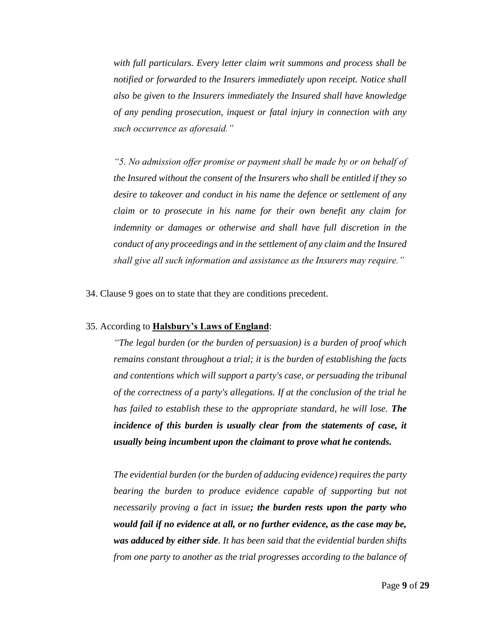*with full particulars. Every letter claim writ summons and process shall be notified or forwarded to the Insurers immediately upon receipt. Notice shall also be given to the Insurers immediately the Insured shall have knowledge of any pending prosecution, inquest or fatal injury in connection with any such occurrence as aforesaid."* 

*"5. No admission offer promise or payment shall be made by or on behalf of the Insured without the consent of the Insurers who shall be entitled if they so desire to takeover and conduct in his name the defence or settlement of any claim or to prosecute in his name for their own benefit any claim for indemnity or damages or otherwise and shall have full discretion in the conduct of any proceedings and in the settlement of any claim and the Insured shall give all such information and assistance as the Insurers may require."*

34. Clause 9 goes on to state that they are conditions precedent.

#### 35. According to **Halsbury's Laws of England**:

*"The legal burden (or the burden of persuasion) is a burden of proof which remains constant throughout a trial; it is the burden of establishing the facts and contentions which will support a party's case, or persuading the tribunal of the correctness of a party's allegations. If at the conclusion of the trial he has failed to establish these to the appropriate standard, he will lose. The incidence of this burden is usually clear from the statements of case, it usually being incumbent upon the claimant to prove what he contends.*

*The evidential burden (or the burden of adducing evidence) requires the party bearing the burden to produce evidence capable of supporting but not necessarily proving a fact in issue; the burden rests upon the party who would fail if no evidence at all, or no further evidence, as the case may be, was adduced by either side. It has been said that the evidential burden shifts from one party to another as the trial progresses according to the balance of*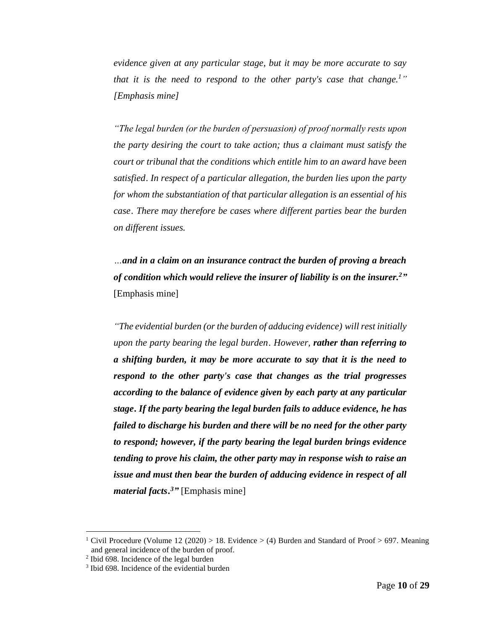*evidence given at any particular stage, but it may be more accurate to say that it is the need to respond to the other party's case that change. 1" [Emphasis mine]*

*"The legal burden (or the burden of persuasion) of proof normally rests upon the party desiring the court to take action; thus a claimant must satisfy the court or tribunal that the conditions which entitle him to an award have been satisfied[.](https://www.lexisnexis.com/uk/legal/#ref1_68616C735F63697670726F635F69755F393131_ID0EUEAC) In respect of a particular allegation, the burden lies upon the party for whom the substantiation of that particular allegation is an essential of his cas[e](https://www.lexisnexis.com/uk/legal/#ref2_68616C735F63697670726F635F69755F393131_ID0EOGAC). There may therefore be cases where different parties bear the burden on different issues.*

 *…and in a claim on an insurance contract the burden of proving a breach of condition which would relieve the insurer of liability is on the insurer.<sup>2</sup>"* [Emphasis mine]

*"The evidential burden (or the burden of adducing evidence) will rest initially upon the party bearing the legal burden[.](https://www.lexisnexis.com/uk/legal/#ref2_68616C735F63697670726F635F69755F393132_ID0EGH) However, rather than referring to a shifting burden, it may be more accurate to say that it is the need to respond to the other party's case that changes as the trial progresses according to the balance of evidence given by each party at any particular stag[e.](https://www.lexisnexis.com/uk/legal/#ref3_68616C735F63697670726F635F69755F393132_ID0E4H) If the party bearing the legal burden fails to adduce evidence, he has failed to discharge his burden and there will be no need for the other party to respond; however, if the party bearing the legal burden brings evidence tending to prove his claim, the other party may in response wish to raise an issue and must then bear the burden of adducing evidence in respect of all material facts. <sup>3</sup>"* [Emphasis mine]

<sup>&</sup>lt;sup>1</sup> Civil Procedure (Volume 12 (2020) > 18. Evidence > (4) Burden and Standard of Proof > 697. Meaning and general incidence of the burden of proof.

<sup>2</sup> Ibid 698. Incidence of the legal burden

<sup>&</sup>lt;sup>3</sup> Ibid 698. Incidence of the evidential burden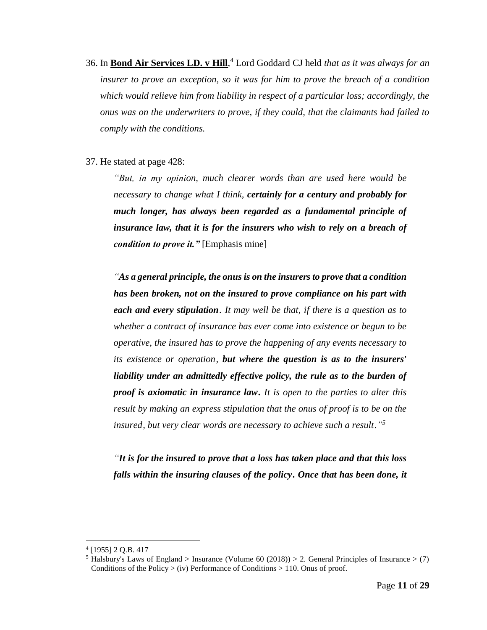- 36. In **Bond Air Services LD. v Hill**, <sup>4</sup> Lord Goddard CJ held *that as it was always for an insurer to prove an exception, so it was for him to prove the breach of a condition which would relieve him from liability in respect of a particular loss; accordingly, the onus was on the underwriters to prove, if they could, that the claimants had failed to comply with the conditions.*
- 37. He stated at page 428:

*"But, in my opinion, much clearer words than are used here would be necessary to change what I think, certainly for a century and probably for much longer, has always been regarded as a fundamental principle of insurance law, that it is for the insurers who wish to rely on a breach of condition to prove it."* [Emphasis mine]

*"As a general principle, the onus is on the insurers to prove that a condition has been broken, not on the insured to prove compliance on his part with each and every stipulation[.](https://www.lexisnexis.com/uk/legal/#ref1_68616C735F696E737572616E63655F69755F313436_ID0EGH) It may well be that, if there is a question as to whether a contract of insurance has ever come into existence or begun to be operative, the insured has to prove the happening of any events necessary to its existence or operation[,](https://www.lexisnexis.com/uk/legal/#ref2_68616C735F696E737572616E63655F69755F313436_ID0EQEAC) but where the question is as to the insurers' liability under an admittedly effective policy, the rule as to the burden of proof is axiomatic in insurance law. It is open to the parties to alter this result by making an express stipulation that the onus of proof is to be on the insured[,](https://www.lexisnexis.com/uk/legal/#ref4_68616C735F696E737572616E63655F69755F313436_ID0EGIAC) but very clear words are necessary to achieve such a resul[t](https://www.lexisnexis.com/uk/legal/#ref5_68616C735F696E737572616E63655F69755F313436_ID0EILAC)." 5*

*"It is for the insured to prove that a loss has taken place and that this loss falls within the insuring clauses of the policy. Once that has been done, it* 

<sup>4</sup> [1955] 2 Q.B. 417

<sup>&</sup>lt;sup>5</sup> Halsbury's Laws of England > Insurance (Volume 60 (2018)) > 2. General Principles of Insurance > (7) Conditions of the Policy  $>$  (iv) Performance of Conditions  $>$  110. Onus of proof.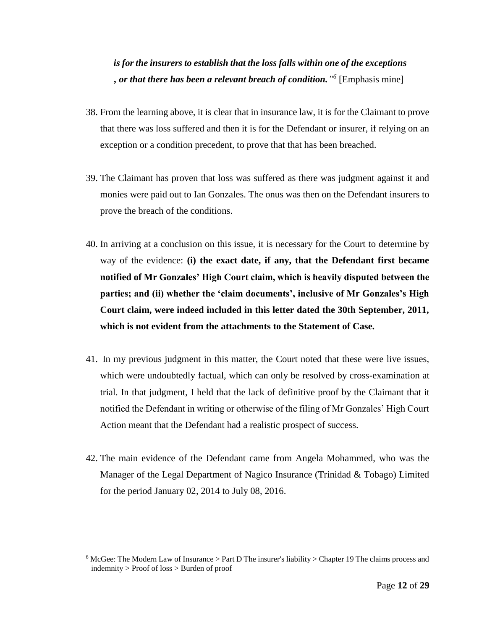## *is for the insurers to establish that the loss falls within one of the exceptions [,](https://www.lexisnexis.com/uk/legal/#ref2_6D6C695F62696E6465725F30315F645F303031395F3131_ID0ERG) or that there has been a relevant breach of condition." 6* [Emphasis mine]

- 38. From the learning above, it is clear that in insurance law, it is for the Claimant to prove that there was loss suffered and then it is for the Defendant or insurer, if relying on an exception or a condition precedent, to prove that that has been breached.
- 39. The Claimant has proven that loss was suffered as there was judgment against it and monies were paid out to Ian Gonzales. The onus was then on the Defendant insurers to prove the breach of the conditions.
- 40. In arriving at a conclusion on this issue, it is necessary for the Court to determine by way of the evidence: **(i) the exact date, if any, that the Defendant first became notified of Mr Gonzales' High Court claim, which is heavily disputed between the parties; and (ii) whether the 'claim documents', inclusive of Mr Gonzales's High Court claim, were indeed included in this letter dated the 30th September, 2011, which is not evident from the attachments to the Statement of Case.**
- 41. In my previous judgment in this matter, the Court noted that these were live issues, which were undoubtedly factual, which can only be resolved by cross-examination at trial. In that judgment, I held that the lack of definitive proof by the Claimant that it notified the Defendant in writing or otherwise of the filing of Mr Gonzales' High Court Action meant that the Defendant had a realistic prospect of success.
- 42. The main evidence of the Defendant came from Angela Mohammed, who was the Manager of the Legal Department of Nagico Insurance (Trinidad & Tobago) Limited for the period January 02, 2014 to July 08, 2016.

 $6$  McGee: The Modern Law of Insurance  $>$  Part D The insurer's liability  $>$  Chapter 19 The claims process and indemnity > Proof of loss > Burden of proof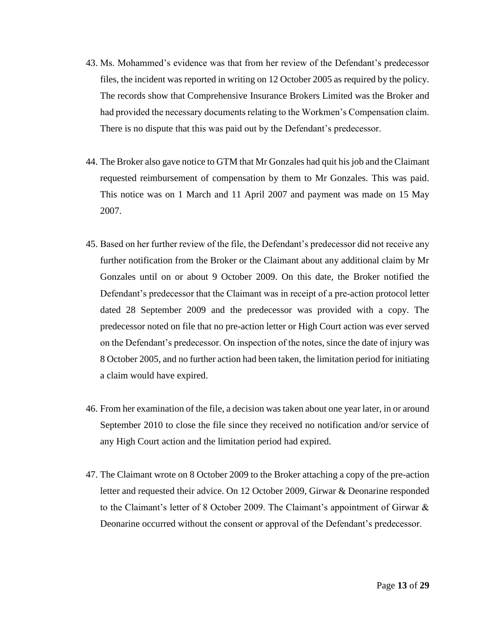- 43. Ms. Mohammed's evidence was that from her review of the Defendant's predecessor files, the incident was reported in writing on 12 October 2005 as required by the policy. The records show that Comprehensive Insurance Brokers Limited was the Broker and had provided the necessary documents relating to the Workmen's Compensation claim. There is no dispute that this was paid out by the Defendant's predecessor.
- 44. The Broker also gave notice to GTM that Mr Gonzales had quit his job and the Claimant requested reimbursement of compensation by them to Mr Gonzales. This was paid. This notice was on 1 March and 11 April 2007 and payment was made on 15 May 2007.
- 45. Based on her further review of the file, the Defendant's predecessor did not receive any further notification from the Broker or the Claimant about any additional claim by Mr Gonzales until on or about 9 October 2009. On this date, the Broker notified the Defendant's predecessor that the Claimant was in receipt of a pre-action protocol letter dated 28 September 2009 and the predecessor was provided with a copy. The predecessor noted on file that no pre-action letter or High Court action was ever served on the Defendant's predecessor. On inspection of the notes, since the date of injury was 8 October 2005, and no further action had been taken, the limitation period for initiating a claim would have expired.
- 46. From her examination of the file, a decision was taken about one year later, in or around September 2010 to close the file since they received no notification and/or service of any High Court action and the limitation period had expired.
- 47. The Claimant wrote on 8 October 2009 to the Broker attaching a copy of the pre-action letter and requested their advice. On 12 October 2009, Girwar & Deonarine responded to the Claimant's letter of 8 October 2009. The Claimant's appointment of Girwar & Deonarine occurred without the consent or approval of the Defendant's predecessor.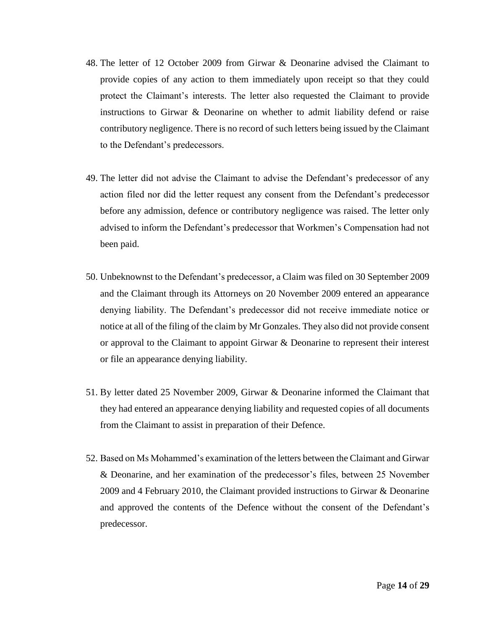- 48. The letter of 12 October 2009 from Girwar & Deonarine advised the Claimant to provide copies of any action to them immediately upon receipt so that they could protect the Claimant's interests. The letter also requested the Claimant to provide instructions to Girwar & Deonarine on whether to admit liability defend or raise contributory negligence. There is no record of such letters being issued by the Claimant to the Defendant's predecessors.
- 49. The letter did not advise the Claimant to advise the Defendant's predecessor of any action filed nor did the letter request any consent from the Defendant's predecessor before any admission, defence or contributory negligence was raised. The letter only advised to inform the Defendant's predecessor that Workmen's Compensation had not been paid.
- 50. Unbeknownst to the Defendant's predecessor, a Claim was filed on 30 September 2009 and the Claimant through its Attorneys on 20 November 2009 entered an appearance denying liability. The Defendant's predecessor did not receive immediate notice or notice at all of the filing of the claim by Mr Gonzales. They also did not provide consent or approval to the Claimant to appoint Girwar & Deonarine to represent their interest or file an appearance denying liability.
- 51. By letter dated 25 November 2009, Girwar & Deonarine informed the Claimant that they had entered an appearance denying liability and requested copies of all documents from the Claimant to assist in preparation of their Defence.
- 52. Based on Ms Mohammed's examination of the letters between the Claimant and Girwar & Deonarine, and her examination of the predecessor's files, between 25 November 2009 and 4 February 2010, the Claimant provided instructions to Girwar & Deonarine and approved the contents of the Defence without the consent of the Defendant's predecessor.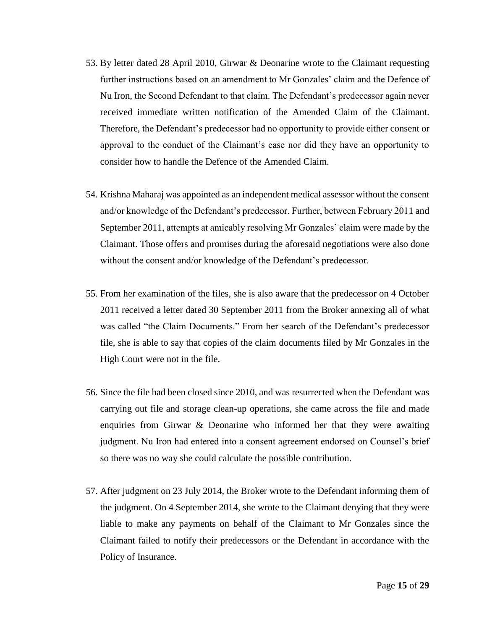- 53. By letter dated 28 April 2010, Girwar & Deonarine wrote to the Claimant requesting further instructions based on an amendment to Mr Gonzales' claim and the Defence of Nu Iron, the Second Defendant to that claim. The Defendant's predecessor again never received immediate written notification of the Amended Claim of the Claimant. Therefore, the Defendant's predecessor had no opportunity to provide either consent or approval to the conduct of the Claimant's case nor did they have an opportunity to consider how to handle the Defence of the Amended Claim.
- 54. Krishna Maharaj was appointed as an independent medical assessor without the consent and/or knowledge of the Defendant's predecessor. Further, between February 2011 and September 2011, attempts at amicably resolving Mr Gonzales' claim were made by the Claimant. Those offers and promises during the aforesaid negotiations were also done without the consent and/or knowledge of the Defendant's predecessor.
- 55. From her examination of the files, she is also aware that the predecessor on 4 October 2011 received a letter dated 30 September 2011 from the Broker annexing all of what was called "the Claim Documents." From her search of the Defendant's predecessor file, she is able to say that copies of the claim documents filed by Mr Gonzales in the High Court were not in the file.
- 56. Since the file had been closed since 2010, and was resurrected when the Defendant was carrying out file and storage clean-up operations, she came across the file and made enquiries from Girwar  $\&$  Deonarine who informed her that they were awaiting judgment. Nu Iron had entered into a consent agreement endorsed on Counsel's brief so there was no way she could calculate the possible contribution.
- 57. After judgment on 23 July 2014, the Broker wrote to the Defendant informing them of the judgment. On 4 September 2014, she wrote to the Claimant denying that they were liable to make any payments on behalf of the Claimant to Mr Gonzales since the Claimant failed to notify their predecessors or the Defendant in accordance with the Policy of Insurance.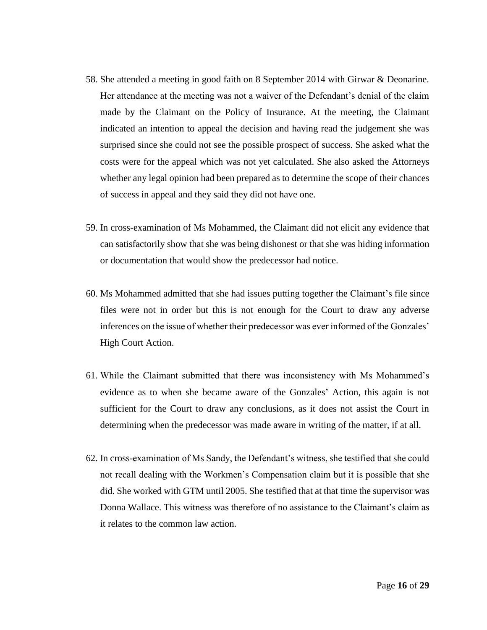- 58. She attended a meeting in good faith on 8 September 2014 with Girwar & Deonarine. Her attendance at the meeting was not a waiver of the Defendant's denial of the claim made by the Claimant on the Policy of Insurance. At the meeting, the Claimant indicated an intention to appeal the decision and having read the judgement she was surprised since she could not see the possible prospect of success. She asked what the costs were for the appeal which was not yet calculated. She also asked the Attorneys whether any legal opinion had been prepared as to determine the scope of their chances of success in appeal and they said they did not have one.
- 59. In cross-examination of Ms Mohammed, the Claimant did not elicit any evidence that can satisfactorily show that she was being dishonest or that she was hiding information or documentation that would show the predecessor had notice.
- 60. Ms Mohammed admitted that she had issues putting together the Claimant's file since files were not in order but this is not enough for the Court to draw any adverse inferences on the issue of whether their predecessor was ever informed of the Gonzales' High Court Action.
- 61. While the Claimant submitted that there was inconsistency with Ms Mohammed's evidence as to when she became aware of the Gonzales' Action, this again is not sufficient for the Court to draw any conclusions, as it does not assist the Court in determining when the predecessor was made aware in writing of the matter, if at all.
- 62. In cross-examination of Ms Sandy, the Defendant's witness, she testified that she could not recall dealing with the Workmen's Compensation claim but it is possible that she did. She worked with GTM until 2005. She testified that at that time the supervisor was Donna Wallace. This witness was therefore of no assistance to the Claimant's claim as it relates to the common law action.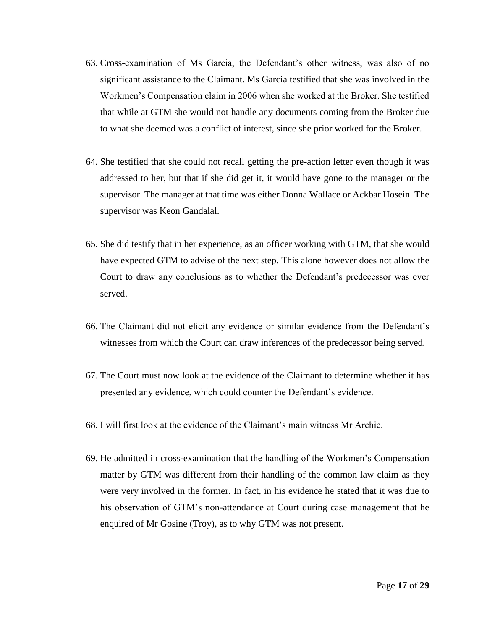- 63. Cross-examination of Ms Garcia, the Defendant's other witness, was also of no significant assistance to the Claimant. Ms Garcia testified that she was involved in the Workmen's Compensation claim in 2006 when she worked at the Broker. She testified that while at GTM she would not handle any documents coming from the Broker due to what she deemed was a conflict of interest, since she prior worked for the Broker.
- 64. She testified that she could not recall getting the pre-action letter even though it was addressed to her, but that if she did get it, it would have gone to the manager or the supervisor. The manager at that time was either Donna Wallace or Ackbar Hosein. The supervisor was Keon Gandalal.
- 65. She did testify that in her experience, as an officer working with GTM, that she would have expected GTM to advise of the next step. This alone however does not allow the Court to draw any conclusions as to whether the Defendant's predecessor was ever served.
- 66. The Claimant did not elicit any evidence or similar evidence from the Defendant's witnesses from which the Court can draw inferences of the predecessor being served.
- 67. The Court must now look at the evidence of the Claimant to determine whether it has presented any evidence, which could counter the Defendant's evidence.
- 68. I will first look at the evidence of the Claimant's main witness Mr Archie.
- 69. He admitted in cross-examination that the handling of the Workmen's Compensation matter by GTM was different from their handling of the common law claim as they were very involved in the former. In fact, in his evidence he stated that it was due to his observation of GTM's non-attendance at Court during case management that he enquired of Mr Gosine (Troy), as to why GTM was not present.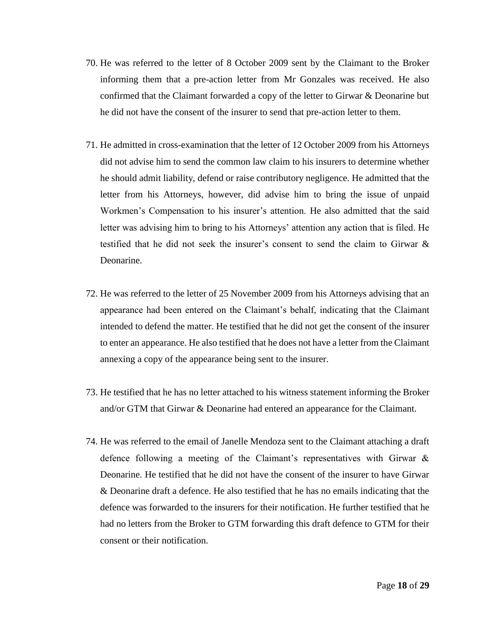- 70. He was referred to the letter of 8 October 2009 sent by the Claimant to the Broker informing them that a pre-action letter from Mr Gonzales was received. He also confirmed that the Claimant forwarded a copy of the letter to Girwar & Deonarine but he did not have the consent of the insurer to send that pre-action letter to them.
- 71. He admitted in cross-examination that the letter of 12 October 2009 from his Attorneys did not advise him to send the common law claim to his insurers to determine whether he should admit liability, defend or raise contributory negligence. He admitted that the letter from his Attorneys, however, did advise him to bring the issue of unpaid Workmen's Compensation to his insurer's attention. He also admitted that the said letter was advising him to bring to his Attorneys' attention any action that is filed. He testified that he did not seek the insurer's consent to send the claim to Girwar & Deonarine.
- 72. He was referred to the letter of 25 November 2009 from his Attorneys advising that an appearance had been entered on the Claimant's behalf, indicating that the Claimant intended to defend the matter. He testified that he did not get the consent of the insurer to enter an appearance. He also testified that he does not have a letter from the Claimant annexing a copy of the appearance being sent to the insurer.
- 73. He testified that he has no letter attached to his witness statement informing the Broker and/or GTM that Girwar & Deonarine had entered an appearance for the Claimant.
- 74. He was referred to the email of Janelle Mendoza sent to the Claimant attaching a draft defence following a meeting of the Claimant's representatives with Girwar & Deonarine. He testified that he did not have the consent of the insurer to have Girwar & Deonarine draft a defence. He also testified that he has no emails indicating that the defence was forwarded to the insurers for their notification. He further testified that he had no letters from the Broker to GTM forwarding this draft defence to GTM for their consent or their notification.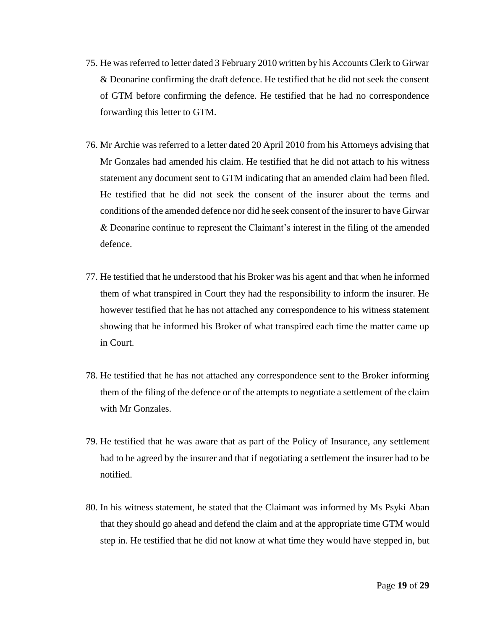- 75. He was referred to letter dated 3 February 2010 written by his Accounts Clerk to Girwar & Deonarine confirming the draft defence. He testified that he did not seek the consent of GTM before confirming the defence. He testified that he had no correspondence forwarding this letter to GTM.
- 76. Mr Archie was referred to a letter dated 20 April 2010 from his Attorneys advising that Mr Gonzales had amended his claim. He testified that he did not attach to his witness statement any document sent to GTM indicating that an amended claim had been filed. He testified that he did not seek the consent of the insurer about the terms and conditions of the amended defence nor did he seek consent of the insurer to have Girwar & Deonarine continue to represent the Claimant's interest in the filing of the amended defence.
- 77. He testified that he understood that his Broker was his agent and that when he informed them of what transpired in Court they had the responsibility to inform the insurer. He however testified that he has not attached any correspondence to his witness statement showing that he informed his Broker of what transpired each time the matter came up in Court.
- 78. He testified that he has not attached any correspondence sent to the Broker informing them of the filing of the defence or of the attempts to negotiate a settlement of the claim with Mr Gonzales.
- 79. He testified that he was aware that as part of the Policy of Insurance, any settlement had to be agreed by the insurer and that if negotiating a settlement the insurer had to be notified.
- 80. In his witness statement, he stated that the Claimant was informed by Ms Psyki Aban that they should go ahead and defend the claim and at the appropriate time GTM would step in. He testified that he did not know at what time they would have stepped in, but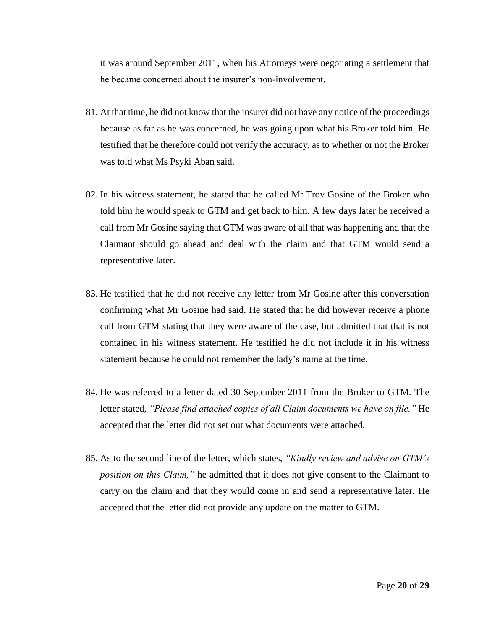it was around September 2011, when his Attorneys were negotiating a settlement that he became concerned about the insurer's non-involvement.

- 81. At that time, he did not know that the insurer did not have any notice of the proceedings because as far as he was concerned, he was going upon what his Broker told him. He testified that he therefore could not verify the accuracy, as to whether or not the Broker was told what Ms Psyki Aban said.
- 82. In his witness statement, he stated that he called Mr Troy Gosine of the Broker who told him he would speak to GTM and get back to him. A few days later he received a call from Mr Gosine saying that GTM was aware of all that was happening and that the Claimant should go ahead and deal with the claim and that GTM would send a representative later.
- 83. He testified that he did not receive any letter from Mr Gosine after this conversation confirming what Mr Gosine had said. He stated that he did however receive a phone call from GTM stating that they were aware of the case, but admitted that that is not contained in his witness statement. He testified he did not include it in his witness statement because he could not remember the lady's name at the time.
- 84. He was referred to a letter dated 30 September 2011 from the Broker to GTM. The letter stated, *"Please find attached copies of all Claim documents we have on file."* He accepted that the letter did not set out what documents were attached.
- 85. As to the second line of the letter, which states, *"Kindly review and advise on GTM's position on this Claim,"* he admitted that it does not give consent to the Claimant to carry on the claim and that they would come in and send a representative later. He accepted that the letter did not provide any update on the matter to GTM.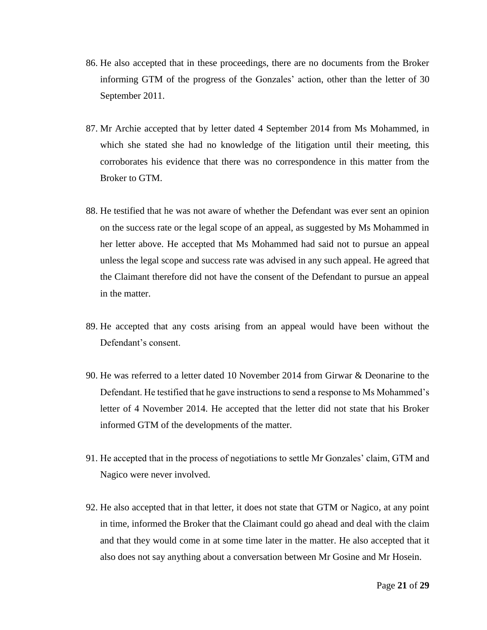- 86. He also accepted that in these proceedings, there are no documents from the Broker informing GTM of the progress of the Gonzales' action, other than the letter of 30 September 2011.
- 87. Mr Archie accepted that by letter dated 4 September 2014 from Ms Mohammed, in which she stated she had no knowledge of the litigation until their meeting, this corroborates his evidence that there was no correspondence in this matter from the Broker to GTM.
- 88. He testified that he was not aware of whether the Defendant was ever sent an opinion on the success rate or the legal scope of an appeal, as suggested by Ms Mohammed in her letter above. He accepted that Ms Mohammed had said not to pursue an appeal unless the legal scope and success rate was advised in any such appeal. He agreed that the Claimant therefore did not have the consent of the Defendant to pursue an appeal in the matter.
- 89. He accepted that any costs arising from an appeal would have been without the Defendant's consent.
- 90. He was referred to a letter dated 10 November 2014 from Girwar & Deonarine to the Defendant. He testified that he gave instructions to send a response to Ms Mohammed's letter of 4 November 2014. He accepted that the letter did not state that his Broker informed GTM of the developments of the matter.
- 91. He accepted that in the process of negotiations to settle Mr Gonzales' claim, GTM and Nagico were never involved.
- 92. He also accepted that in that letter, it does not state that GTM or Nagico, at any point in time, informed the Broker that the Claimant could go ahead and deal with the claim and that they would come in at some time later in the matter. He also accepted that it also does not say anything about a conversation between Mr Gosine and Mr Hosein.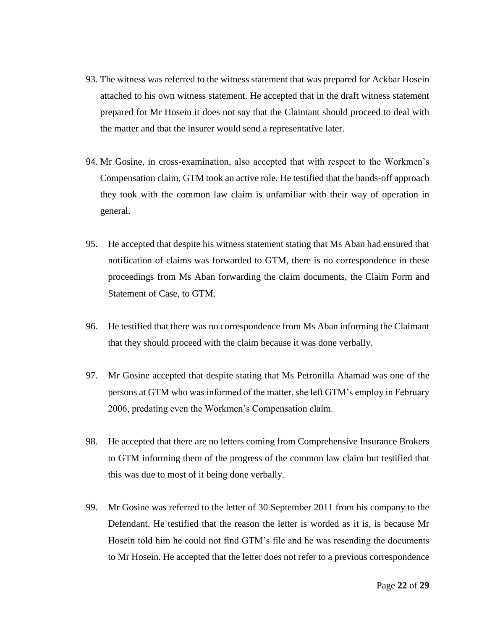- 93. The witness was referred to the witness statement that was prepared for Ackbar Hosein attached to his own witness statement. He accepted that in the draft witness statement prepared for Mr Hosein it does not say that the Claimant should proceed to deal with the matter and that the insurer would send a representative later.
- 94. Mr Gosine, in cross-examination, also accepted that with respect to the Workmen's Compensation claim, GTM took an active role. He testified that the hands-off approach they took with the common law claim is unfamiliar with their way of operation in general.
- 95. He accepted that despite his witness statement stating that Ms Aban had ensured that notification of claims was forwarded to GTM, there is no correspondence in these proceedings from Ms Aban forwarding the claim documents, the Claim Form and Statement of Case, to GTM.
- 96. He testified that there was no correspondence from Ms Aban informing the Claimant that they should proceed with the claim because it was done verbally.
- 97. Mr Gosine accepted that despite stating that Ms Petronilla Ahamad was one of the persons at GTM who was informed of the matter, she left GTM's employ in February 2006, predating even the Workmen's Compensation claim.
- 98. He accepted that there are no letters coming from Comprehensive Insurance Brokers to GTM informing them of the progress of the common law claim but testified that this was due to most of it being done verbally.
- 99. Mr Gosine was referred to the letter of 30 September 2011 from his company to the Defendant. He testified that the reason the letter is worded as it is, is because Mr Hosein told him he could not find GTM's file and he was resending the documents to Mr Hosein. He accepted that the letter does not refer to a previous correspondence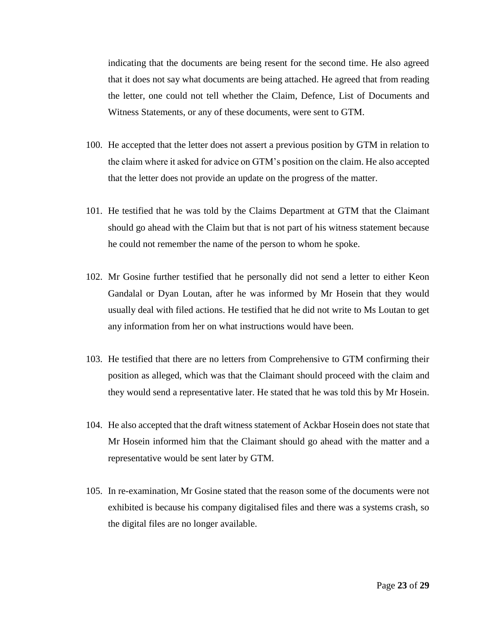indicating that the documents are being resent for the second time. He also agreed that it does not say what documents are being attached. He agreed that from reading the letter, one could not tell whether the Claim, Defence, List of Documents and Witness Statements, or any of these documents, were sent to GTM.

- 100. He accepted that the letter does not assert a previous position by GTM in relation to the claim where it asked for advice on GTM's position on the claim. He also accepted that the letter does not provide an update on the progress of the matter.
- 101. He testified that he was told by the Claims Department at GTM that the Claimant should go ahead with the Claim but that is not part of his witness statement because he could not remember the name of the person to whom he spoke.
- 102. Mr Gosine further testified that he personally did not send a letter to either Keon Gandalal or Dyan Loutan, after he was informed by Mr Hosein that they would usually deal with filed actions. He testified that he did not write to Ms Loutan to get any information from her on what instructions would have been.
- 103. He testified that there are no letters from Comprehensive to GTM confirming their position as alleged, which was that the Claimant should proceed with the claim and they would send a representative later. He stated that he was told this by Mr Hosein.
- 104. He also accepted that the draft witness statement of Ackbar Hosein does not state that Mr Hosein informed him that the Claimant should go ahead with the matter and a representative would be sent later by GTM.
- 105. In re-examination, Mr Gosine stated that the reason some of the documents were not exhibited is because his company digitalised files and there was a systems crash, so the digital files are no longer available.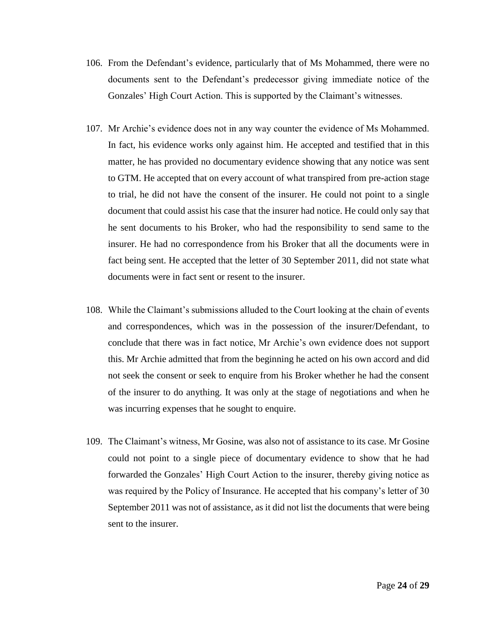- 106. From the Defendant's evidence, particularly that of Ms Mohammed, there were no documents sent to the Defendant's predecessor giving immediate notice of the Gonzales' High Court Action. This is supported by the Claimant's witnesses.
- 107. Mr Archie's evidence does not in any way counter the evidence of Ms Mohammed. In fact, his evidence works only against him. He accepted and testified that in this matter, he has provided no documentary evidence showing that any notice was sent to GTM. He accepted that on every account of what transpired from pre-action stage to trial, he did not have the consent of the insurer. He could not point to a single document that could assist his case that the insurer had notice. He could only say that he sent documents to his Broker, who had the responsibility to send same to the insurer. He had no correspondence from his Broker that all the documents were in fact being sent. He accepted that the letter of 30 September 2011, did not state what documents were in fact sent or resent to the insurer.
- 108. While the Claimant's submissions alluded to the Court looking at the chain of events and correspondences, which was in the possession of the insurer/Defendant, to conclude that there was in fact notice, Mr Archie's own evidence does not support this. Mr Archie admitted that from the beginning he acted on his own accord and did not seek the consent or seek to enquire from his Broker whether he had the consent of the insurer to do anything. It was only at the stage of negotiations and when he was incurring expenses that he sought to enquire.
- 109. The Claimant's witness, Mr Gosine, was also not of assistance to its case. Mr Gosine could not point to a single piece of documentary evidence to show that he had forwarded the Gonzales' High Court Action to the insurer, thereby giving notice as was required by the Policy of Insurance. He accepted that his company's letter of 30 September 2011 was not of assistance, as it did not list the documents that were being sent to the insurer.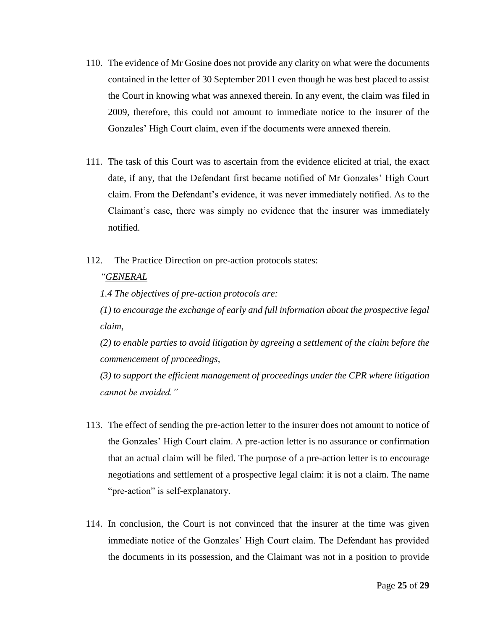- 110. The evidence of Mr Gosine does not provide any clarity on what were the documents contained in the letter of 30 September 2011 even though he was best placed to assist the Court in knowing what was annexed therein. In any event, the claim was filed in 2009, therefore, this could not amount to immediate notice to the insurer of the Gonzales' High Court claim, even if the documents were annexed therein.
- 111. The task of this Court was to ascertain from the evidence elicited at trial, the exact date, if any, that the Defendant first became notified of Mr Gonzales' High Court claim. From the Defendant's evidence, it was never immediately notified. As to the Claimant's case, there was simply no evidence that the insurer was immediately notified.
- 112. The Practice Direction on pre-action protocols states:

## *"GENERAL*

*1.4 The objectives of pre-action protocols are:* 

*(1) to encourage the exchange of early and full information about the prospective legal claim,* 

*(2) to enable parties to avoid litigation by agreeing a settlement of the claim before the commencement of proceedings,* 

*(3) to support the efficient management of proceedings under the CPR where litigation cannot be avoided."*

- 113. The effect of sending the pre-action letter to the insurer does not amount to notice of the Gonzales' High Court claim. A pre-action letter is no assurance or confirmation that an actual claim will be filed. The purpose of a pre-action letter is to encourage negotiations and settlement of a prospective legal claim: it is not a claim. The name "pre-action" is self-explanatory.
- 114. In conclusion, the Court is not convinced that the insurer at the time was given immediate notice of the Gonzales' High Court claim. The Defendant has provided the documents in its possession, and the Claimant was not in a position to provide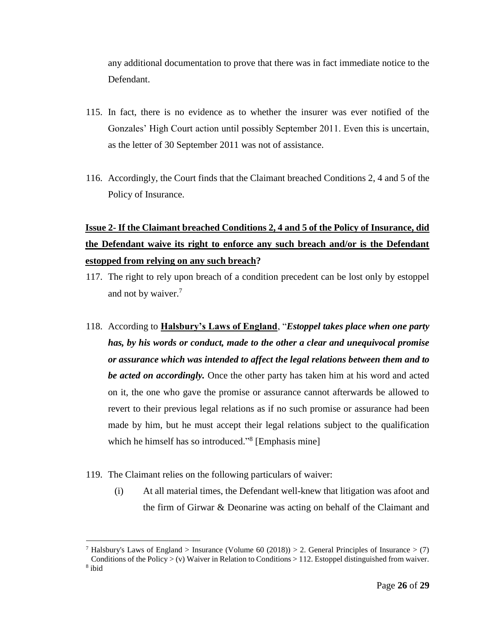any additional documentation to prove that there was in fact immediate notice to the Defendant.

- 115. In fact, there is no evidence as to whether the insurer was ever notified of the Gonzales' High Court action until possibly September 2011. Even this is uncertain, as the letter of 30 September 2011 was not of assistance.
- 116. Accordingly, the Court finds that the Claimant breached Conditions 2, 4 and 5 of the Policy of Insurance.

# **Issue 2- If the Claimant breached Conditions 2, 4 and 5 of the Policy of Insurance, did the Defendant waive its right to enforce any such breach and/or is the Defendant estopped from relying on any such breach?**

- 117. The right to rely upon breach of a condition precedent can be lost only by estoppel and not by waiver.<sup>7</sup>
- 118. According to **Halsbury's Laws of England**, "*Estoppel takes place when one party has, by his words or conduct, made to the other a clear and unequivocal promise or assurance which was intended to affect the legal relations between them and to be acted on accordingly.* Once the other party has taken him at his word and acted on it, the one who gave the promise or assurance cannot afterwards be allowed to revert to their previous legal relations as if no such promise or assurance had been made by him, but he must accept their legal relations subject to the qualification which he himself has so introduced."<sup>8</sup> [Emphasis mine]
- 119. The Claimant relies on the following particulars of waiver:
	- (i) At all material times, the Defendant well-knew that litigation was afoot and the firm of Girwar & Deonarine was acting on behalf of the Claimant and

<sup>&</sup>lt;sup>7</sup> Halsbury's Laws of England > Insurance (Volume 60 (2018)) > 2. General Principles of Insurance > (7) Conditions of the Policy  $>$  (v) Waiver in Relation to Conditions  $>$  112. Estoppel distinguished from waiver.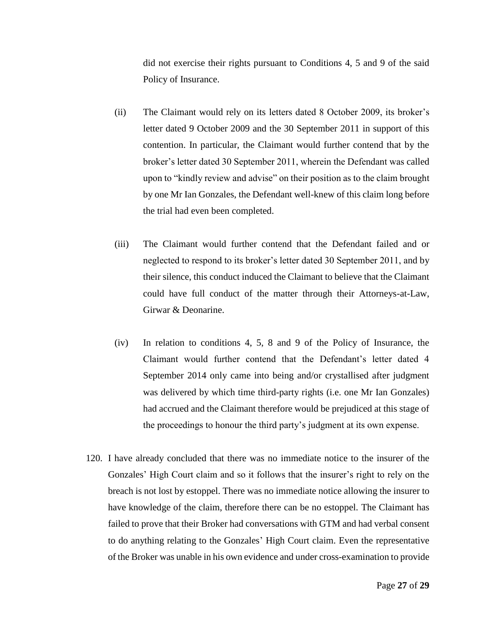did not exercise their rights pursuant to Conditions 4, 5 and 9 of the said Policy of Insurance.

- (ii) The Claimant would rely on its letters dated 8 October 2009, its broker's letter dated 9 October 2009 and the 30 September 2011 in support of this contention. In particular, the Claimant would further contend that by the broker's letter dated 30 September 2011, wherein the Defendant was called upon to "kindly review and advise" on their position as to the claim brought by one Mr Ian Gonzales, the Defendant well-knew of this claim long before the trial had even been completed.
- (iii) The Claimant would further contend that the Defendant failed and or neglected to respond to its broker's letter dated 30 September 2011, and by their silence, this conduct induced the Claimant to believe that the Claimant could have full conduct of the matter through their Attorneys-at-Law, Girwar & Deonarine.
- (iv) In relation to conditions 4, 5, 8 and 9 of the Policy of Insurance, the Claimant would further contend that the Defendant's letter dated 4 September 2014 only came into being and/or crystallised after judgment was delivered by which time third-party rights (i.e. one Mr Ian Gonzales) had accrued and the Claimant therefore would be prejudiced at this stage of the proceedings to honour the third party's judgment at its own expense.
- 120. I have already concluded that there was no immediate notice to the insurer of the Gonzales' High Court claim and so it follows that the insurer's right to rely on the breach is not lost by estoppel. There was no immediate notice allowing the insurer to have knowledge of the claim, therefore there can be no estoppel. The Claimant has failed to prove that their Broker had conversations with GTM and had verbal consent to do anything relating to the Gonzales' High Court claim. Even the representative of the Broker was unable in his own evidence and under cross-examination to provide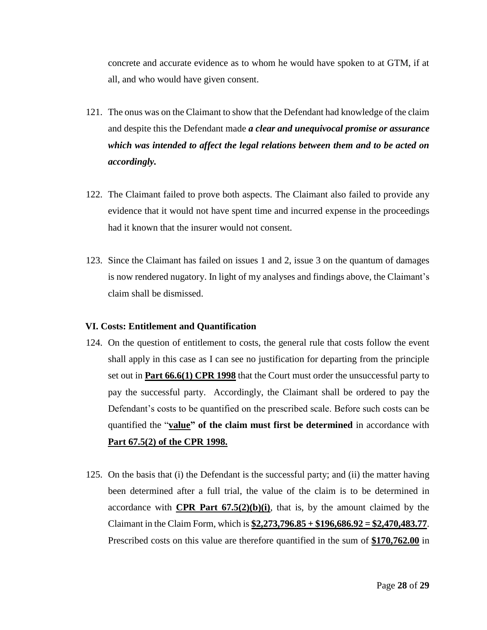concrete and accurate evidence as to whom he would have spoken to at GTM, if at all, and who would have given consent.

- 121. The onus was on the Claimant to show that the Defendant had knowledge of the claim and despite this the Defendant made *a clear and unequivocal promise or assurance which was intended to affect the legal relations between them and to be acted on accordingly.*
- 122. The Claimant failed to prove both aspects. The Claimant also failed to provide any evidence that it would not have spent time and incurred expense in the proceedings had it known that the insurer would not consent.
- 123. Since the Claimant has failed on issues 1 and 2, issue 3 on the quantum of damages is now rendered nugatory. In light of my analyses and findings above, the Claimant's claim shall be dismissed.

#### **VI. Costs: Entitlement and Quantification**

- 124. On the question of entitlement to costs, the general rule that costs follow the event shall apply in this case as I can see no justification for departing from the principle set out in **Part 66.6(1) CPR 1998** that the Court must order the unsuccessful party to pay the successful party. Accordingly, the Claimant shall be ordered to pay the Defendant's costs to be quantified on the prescribed scale. Before such costs can be quantified the "**value" of the claim must first be determined** in accordance with **Part 67.5(2) of the CPR 1998.**
- 125. On the basis that (i) the Defendant is the successful party; and (ii) the matter having been determined after a full trial, the value of the claim is to be determined in accordance with **CPR Part**  $67.5(2)(b)(i)$ , that is, by the amount claimed by the Claimant in the Claim Form, which is **\$2,273,796.85 + \$196,686.92 = \$2,470,483.77**. Prescribed costs on this value are therefore quantified in the sum of **\$170,762.00** in